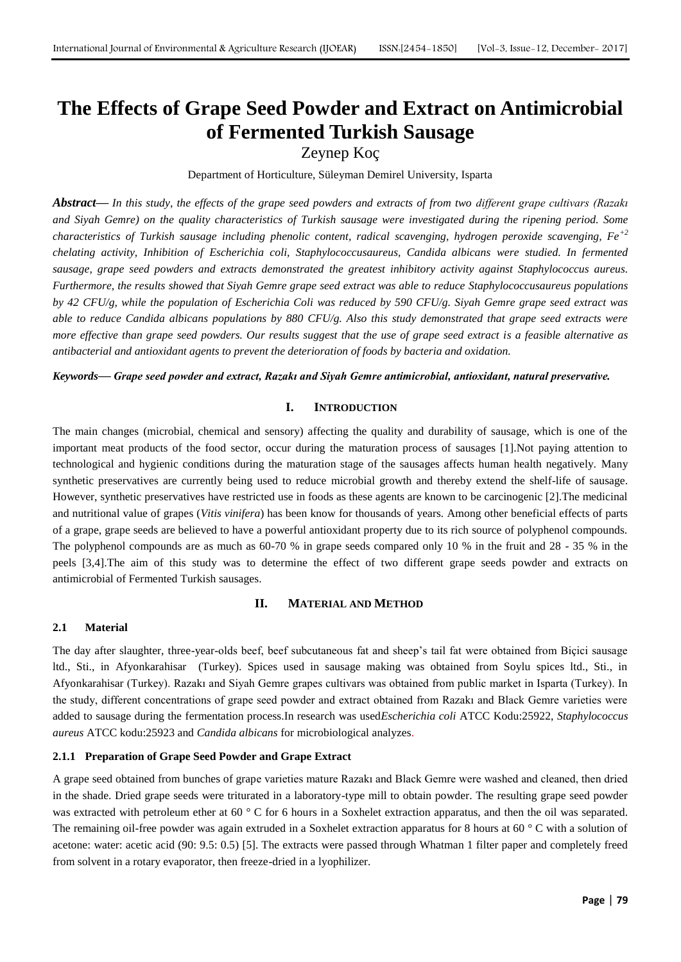# **The Effects of Grape Seed Powder and Extract on Antimicrobial of Fermented Turkish Sausage**

Zeynep Koç

Department of Horticulture, Süleyman Demirel University, Isparta

*Abstract***—** *In this study, the effects of the grape seed powders and extracts of from two different grape cultivars (Razakı and Siyah Gemre) on the quality characteristics of Turkish sausage were investigated during the ripening period. Some characteristics of Turkish sausage including phenolic content, radical scavenging, hydrogen peroxide scavenging, Fe+2 chelating activity, Inhibition of Escherichia coli, Staphylococcusaureus, Candida albicans were studied. In fermented sausage, grape seed powders and extracts demonstrated the greatest inhibitory activity against Staphylococcus aureus. Furthermore, the results showed that Siyah Gemre grape seed extract was able to reduce Staphylococcusaureus populations by 42 CFU/g, while the population of Escherichia Coli was reduced by 590 CFU/g. Siyah Gemre grape seed extract was able to reduce Candida albicans populations by 880 CFU/g. Also this study demonstrated that grape seed extracts were more effective than grape seed powders. Our results suggest that the use of grape seed extract is a feasible alternative as antibacterial and antioxidant agents to prevent the deterioration of foods by bacteria and oxidation.*

*Keywords***—** *Grape seed powder and extract, Razakı and Siyah Gemre antimicrobial, antioxidant, natural preservative.*

## **I. INTRODUCTION**

The main changes (microbial, chemical and sensory) affecting the quality and durability of sausage, which is one of the important meat products of the food sector, occur during the maturation process of sausages [1].Not paying attention to technological and hygienic conditions during the maturation stage of the sausages affects human health negatively. Many synthetic preservatives are currently being used to reduce microbial growth and thereby extend the shelf-life of sausage. However, synthetic preservatives have restricted use in foods as these agents are known to be carcinogenic [2].The medicinal and nutritional value of grapes (*Vitis vinifera*) has been know for thousands of years. Among other beneficial effects of parts of a grape, grape seeds are believed to have a powerful antioxidant property due to its rich source of polyphenol compounds. The polyphenol compounds are as much as 60-70 % in grape seeds compared only 10 % in the fruit and 28 - 35 % in the peels [3,4].The aim of this study was to determine the effect of two different grape seeds powder and extracts on antimicrobial of Fermented Turkish sausages.

## **II. MATERIAL AND METHOD**

## **2.1 Material**

The day after slaughter, three-year-olds beef, beef subcutaneous fat and sheep's tail fat were obtained from Biçici sausage ltd., Sti., in Afyonkarahisar (Turkey). Spices used in sausage making was obtained from Soylu spices ltd., Sti., in Afyonkarahisar (Turkey). Razakı and Siyah Gemre grapes cultivars was obtained from public market in Isparta (Turkey). In the study, different concentrations of grape seed powder and extract obtained from Razakı and Black Gemre varieties were added to sausage during the fermentation process.In research was used*Escherichia coli* ATCC Kodu:25922, *Staphylococcus aureus* ATCC kodu:25923 and *Candida albicans* for microbiological analyzes.

## **2.1.1 Preparation of Grape Seed Powder and Grape Extract**

A grape seed obtained from bunches of grape varieties mature Razakı and Black Gemre were washed and cleaned, then dried in the shade. Dried grape seeds were triturated in a laboratory-type mill to obtain powder. The resulting grape seed powder was extracted with petroleum ether at 60 ° C for 6 hours in a Soxhelet extraction apparatus, and then the oil was separated. The remaining oil-free powder was again extruded in a Soxhelet extraction apparatus for 8 hours at 60 °C with a solution of acetone: water: acetic acid (90: 9.5: 0.5) [5]. The extracts were passed through Whatman 1 filter paper and completely freed from solvent in a rotary evaporator, then freeze-dried in a lyophilizer.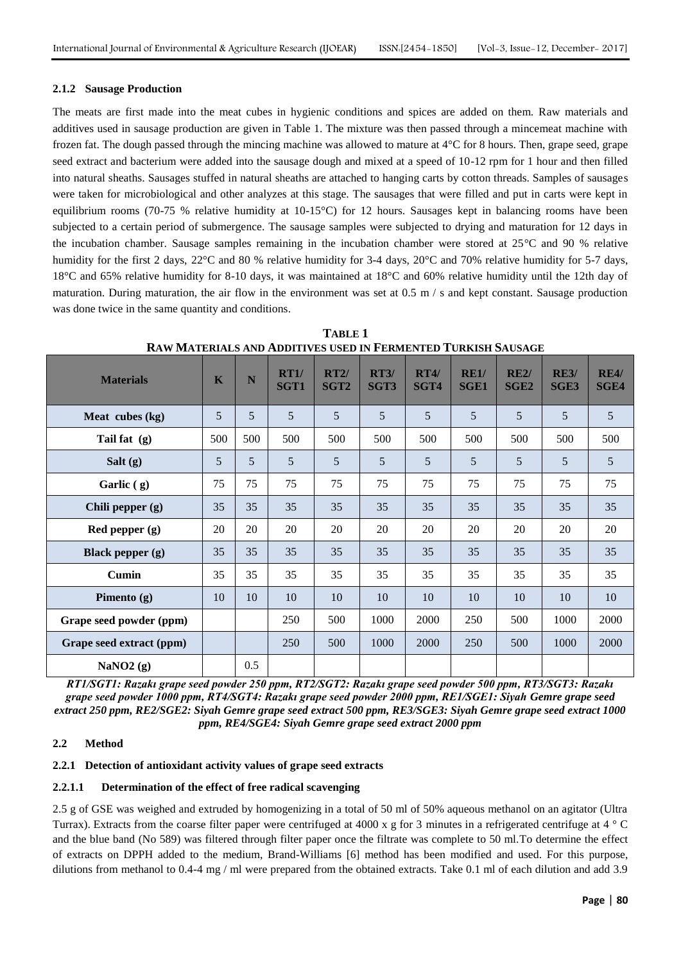#### **2.1.2 Sausage Production**

The meats are first made into the meat cubes in hygienic conditions and spices are added on them. Raw materials and additives used in sausage production are given in Table 1. The mixture was then passed through a mincemeat machine with frozen fat. The dough passed through the mincing machine was allowed to mature at 4°C for 8 hours. Then, grape seed, grape seed extract and bacterium were added into the sausage dough and mixed at a speed of 10-12 rpm for 1 hour and then filled into natural sheaths. Sausages stuffed in natural sheaths are attached to hanging carts by cotton threads. Samples of sausages were taken for microbiological and other analyzes at this stage. The sausages that were filled and put in carts were kept in equilibrium rooms (70-75 % relative humidity at 10-15°C) for 12 hours. Sausages kept in balancing rooms have been subjected to a certain period of submergence. The sausage samples were subjected to drying and maturation for 12 days in the incubation chamber. Sausage samples remaining in the incubation chamber were stored at 25°C and 90 % relative humidity for the first 2 days, 22°C and 80 % relative humidity for 3-4 days, 20°C and 70% relative humidity for 5-7 days, 18°C and 65% relative humidity for 8-10 days, it was maintained at 18°C and 60% relative humidity until the 12th day of maturation. During maturation, the air flow in the environment was set at  $0.5 \text{ m/s}$  and kept constant. Sausage production was done twice in the same quantity and conditions.

| <b>Materials</b>         | K               | N              | RT1/<br><b>SGT1</b> | RT2/<br>SGT <sub>2</sub> | RT3/<br>SGT3 | RT4/<br>SGT4 | RE1/<br><b>SGE1</b> | RE2/<br>SGE <sub>2</sub> | <b>RE3/</b><br><b>SGE3</b> | RE4/<br><b>SGE4</b> |
|--------------------------|-----------------|----------------|---------------------|--------------------------|--------------|--------------|---------------------|--------------------------|----------------------------|---------------------|
| Meat cubes (kg)          | 5               | $\overline{5}$ | $\overline{5}$      | $\mathfrak{S}$           | 5            | 5            | 5                   | 5                        | 5 <sup>5</sup>             | 5                   |
| Tail fat (g)             | 500             | 500            | 500                 | 500                      | 500          | 500          | 500                 | 500                      | 500                        | 500                 |
| Salt $(g)$               | $5\overline{)}$ | 5              | 5                   | 5                        | 5            | 5            | 5                   | 5                        | 5                          | 5                   |
| Garlic $(g)$             | 75              | 75             | 75                  | 75                       | 75           | 75           | 75                  | 75                       | 75                         | 75                  |
| Chili pepper $(g)$       | 35              | 35             | 35                  | 35                       | 35           | 35           | 35                  | 35                       | 35                         | 35                  |
| Red pepper (g)           | 20              | 20             | 20                  | 20                       | 20           | 20           | 20                  | 20                       | 20                         | 20                  |
| <b>Black pepper</b> (g)  | 35              | 35             | 35                  | 35                       | 35           | 35           | 35                  | 35                       | 35                         | 35                  |
| <b>Cumin</b>             | 35              | 35             | 35                  | 35                       | 35           | 35           | 35                  | 35                       | 35                         | 35                  |
| Pimento $(g)$            | 10              | 10             | 10                  | 10                       | 10           | 10           | 10                  | 10                       | 10                         | 10                  |
| Grape seed powder (ppm)  |                 |                | 250                 | 500                      | 1000         | 2000         | 250                 | 500                      | 1000                       | 2000                |
| Grape seed extract (ppm) |                 |                | 250                 | 500                      | 1000         | 2000         | 250                 | 500                      | 1000                       | 2000                |
| NaNO2 $(g)$              |                 | 0.5            |                     |                          |              |              |                     |                          |                            |                     |

**TABLE 1 RAW MATERIALS AND ADDITIVES USED IN FERMENTED TURKISH SAUSAGE**

*RT1/SGT1: Razakı grape seed powder 250 ppm, RT2/SGT2: Razakı grape seed powder 500 ppm, RT3/SGT3: Razakı grape seed powder 1000 ppm, RT4/SGT4: Razakı grape seed powder 2000 ppm, RE1/SGE1: Siyah Gemre grape seed extract 250 ppm, RE2/SGE2: Siyah Gemre grape seed extract 500 ppm, RE3/SGE3: Siyah Gemre grape seed extract 1000 ppm, RE4/SGE4: Siyah Gemre grape seed extract 2000 ppm*

#### **2.2 Method**

#### **2.2.1 Detection of antioxidant activity values of grape seed extracts**

#### **2.2.1.1 Determination of the effect of free radical scavenging**

2.5 g of GSE was weighed and extruded by homogenizing in a total of 50 ml of 50% aqueous methanol on an agitator (Ultra Turrax). Extracts from the coarse filter paper were centrifuged at 4000 x g for 3 minutes in a refrigerated centrifuge at 4 ° C and the blue band (No 589) was filtered through filter paper once the filtrate was complete to 50 ml.To determine the effect of extracts on DPPH added to the medium, Brand-Williams [6] method has been modified and used. For this purpose, dilutions from methanol to 0.4-4 mg / ml were prepared from the obtained extracts. Take 0.1 ml of each dilution and add 3.9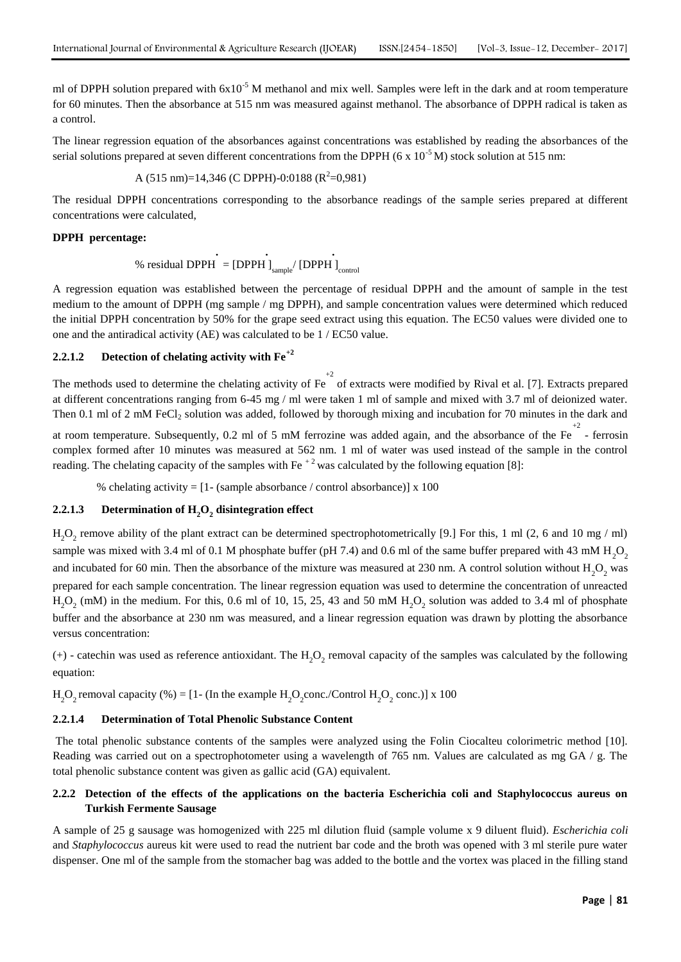ml of DPPH solution prepared with  $6x10^{-5}$  M methanol and mix well. Samples were left in the dark and at room temperature for 60 minutes. Then the absorbance at 515 nm was measured against methanol. The absorbance of DPPH radical is taken as a control.

The linear regression equation of the absorbances against concentrations was established by reading the absorbances of the serial solutions prepared at seven different concentrations from the DPPH (6 x  $10^{-5}$  M) stock solution at 515 nm:

A (515 nm)=14,346 (C DPPH)-0:0188 (R<sup>2</sup> =0,981)

The residual DPPH concentrations corresponding to the absorbance readings of the sample series prepared at different concentrations were calculated,

#### **DPPH percentage:**

% residual DPPH  $\int_{\text{sample}}$  [DPPH  $\int_{\text{control}}$ ]

A regression equation was established between the percentage of residual DPPH and the amount of sample in the test medium to the amount of DPPH (mg sample / mg DPPH), and sample concentration values were determined which reduced the initial DPPH concentration by 50% for the grape seed extract using this equation. The EC50 values were divided one to one and the antiradical activity (AE) was calculated to be 1 / EC50 value.

## **2.2.1.2 Detection of chelating activity with Fe+2**

The methods used to determine the chelating activity of  $Fe^{+2}$  of extracts were modified by Rival et al. [7]. Extracts prepared at different concentrations ranging from 6-45 mg / ml were taken 1 ml of sample and mixed with 3.7 ml of deionized water. Then 0.1 ml of 2 mM FeCl<sub>2</sub> solution was added, followed by thorough mixing and incubation for 70 minutes in the dark and

at room temperature. Subsequently, 0.2 ml of 5 mM ferrozine was added again, and the absorbance of the Fe  $\overline{a}$  - ferrosin complex formed after 10 minutes was measured at 562 nm. 1 ml of water was used instead of the sample in the control reading. The chelating capacity of the samples with Fe<sup> $+2$ </sup> was calculated by the following equation [8]:

% chelating activity =  $[1 - (sample absorbance / control absorbance)] \times 100$ 

## **2.2.1.3 Determination of H2O<sup>2</sup> disintegration effect**

 $H_2O_2$  remove ability of the plant extract can be determined spectrophotometrically [9.] For this, 1 ml (2, 6 and 10 mg / ml) sample was mixed with 3.4 ml of 0.1 M phosphate buffer (pH 7.4) and 0.6 ml of the same buffer prepared with 43 mM  $H_2O_2$ and incubated for 60 min. Then the absorbance of the mixture was measured at  $230$  nm. A control solution without H<sub>2</sub>O<sub>2</sub> was prepared for each sample concentration. The linear regression equation was used to determine the concentration of unreacted  $H_2O_2$  (mM) in the medium. For this, 0.6 ml of 10, 15, 25, 43 and 50 mM  $H_2O_2$  solution was added to 3.4 ml of phosphate buffer and the absorbance at 230 nm was measured, and a linear regression equation was drawn by plotting the absorbance versus concentration:

 $(+)$  - catechin was used as reference antioxidant. The  $H_2O_2$  removal capacity of the samples was calculated by the following equation:

 $H_2O_2$  removal capacity (%) = [1- (In the example  $H_2O_2$ conc./Control  $H_2O_2$  conc.)] x 100

#### **2.2.1.4 Determination of Total Phenolic Substance Content**

The total phenolic substance contents of the samples were analyzed using the Folin Ciocalteu colorimetric method [10]. Reading was carried out on a spectrophotometer using a wavelength of 765 nm. Values are calculated as mg GA / g. The total phenolic substance content was given as gallic acid (GA) equivalent.

## **2.2.2 Detection of the effects of the applications on the bacteria Escherichia coli and Staphylococcus aureus on Turkish Fermente Sausage**

A sample of 25 g sausage was homogenized with 225 ml dilution fluid (sample volume x 9 diluent fluid). *Escherichia coli* and *Staphylococcus* aureus kit were used to read the nutrient bar code and the broth was opened with 3 ml sterile pure water dispenser. One ml of the sample from the stomacher bag was added to the bottle and the vortex was placed in the filling stand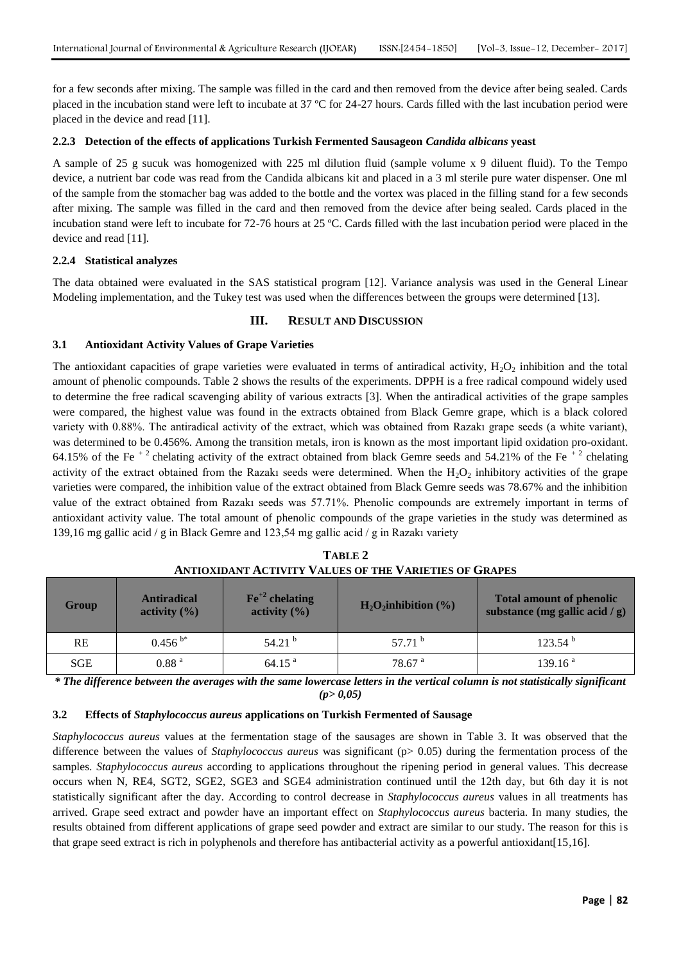for a few seconds after mixing. The sample was filled in the card and then removed from the device after being sealed. Cards placed in the incubation stand were left to incubate at 37 ºC for 24-27 hours. Cards filled with the last incubation period were placed in the device and read [11].

## **2.2.3 Detection of the effects of applications Turkish Fermented Sausageon** *Candida albicans* **yeast**

A sample of 25 g sucuk was homogenized with 225 ml dilution fluid (sample volume x 9 diluent fluid). To the Tempo device, a nutrient bar code was read from the Candida albicans kit and placed in a 3 ml sterile pure water dispenser. One ml of the sample from the stomacher bag was added to the bottle and the vortex was placed in the filling stand for a few seconds after mixing. The sample was filled in the card and then removed from the device after being sealed. Cards placed in the incubation stand were left to incubate for 72-76 hours at 25 ºC. Cards filled with the last incubation period were placed in the device and read [11].

## **2.2.4 Statistical analyzes**

The data obtained were evaluated in the SAS statistical program [12]. Variance analysis was used in the General Linear Modeling implementation, and the Tukey test was used when the differences between the groups were determined [13].

## **III. RESULT AND DISCUSSION**

## **3.1 Antioxidant Activity Values of Grape Varieties**

The antioxidant capacities of grape varieties were evaluated in terms of antiradical activity,  $H_2O_2$  inhibition and the total amount of phenolic compounds. Table 2 shows the results of the experiments. DPPH is a free radical compound widely used to determine the free radical scavenging ability of various extracts [3]. When the antiradical activities of the grape samples were compared, the highest value was found in the extracts obtained from Black Gemre grape, which is a black colored variety with 0.88%. The antiradical activity of the extract, which was obtained from Razakı grape seeds (a white variant), was determined to be 0.456%. Among the transition metals, iron is known as the most important lipid oxidation pro-oxidant. 64.15% of the Fe<sup>+2</sup> chelating activity of the extract obtained from black Gemre seeds and 54.21% of the Fe<sup>+2</sup> chelating activity of the extract obtained from the Razakı seeds were determined. When the  $H_2O_2$  inhibitory activities of the grape varieties were compared, the inhibition value of the extract obtained from Black Gemre seeds was 78.67% and the inhibition value of the extract obtained from Razakı seeds was 57.71%. Phenolic compounds are extremely important in terms of antioxidant activity value. The total amount of phenolic compounds of the grape varieties in the study was determined as 139,16 mg gallic acid / g in Black Gemre and 123,54 mg gallic acid / g in Razakı variety

| <u>INITIOANDANI INCHITITI TADODO OL IND TANDINO OL GIMMDO</u> |                                        |                                                |                         |                                                                      |  |  |
|---------------------------------------------------------------|----------------------------------------|------------------------------------------------|-------------------------|----------------------------------------------------------------------|--|--|
| Group                                                         | <b>Antiradical</b><br>activity $(\% )$ | $\text{Fe}^{+2}$ chelating<br>activity $(\% )$ | $H_2O_2$ inhibition (%) | <b>Total amount of phenolic</b><br>substance (mg gallic acid / $g$ ) |  |  |
| RE                                                            | $0.456^{b*}$                           | 54.21 $^{\rm b}$                               | 57.71 $^{\rm b}$        | 123.54 <sup>b</sup>                                                  |  |  |
| <b>SGE</b>                                                    | 0.88 <sup>a</sup>                      | 64.15 <sup>a</sup>                             | 78.67 <sup>a</sup>      | 139.16 <sup>a</sup>                                                  |  |  |

**TABLE 2 ANTIOXIDANT ACTIVITY VALUES OF THE VARIETIES OF GRAPES**

*\* The difference between the averages with the same lowercase letters in the vertical column is not statistically significant (p> 0,05)*

#### **3.2 Effects of** *Staphylococcus aureus* **applications on Turkish Fermented of Sausage**

*Staphylococcus aureus* values at the fermentation stage of the sausages are shown in Table 3. It was observed that the difference between the values of *Staphylococcus aureus* was significant (p> 0.05) during the fermentation process of the samples. *Staphylococcus aureus* according to applications throughout the ripening period in general values. This decrease occurs when N, RE4, SGT2, SGE2, SGE3 and SGE4 administration continued until the 12th day, but 6th day it is not statistically significant after the day. According to control decrease in *Staphylococcus aureus* values in all treatments has arrived. Grape seed extract and powder have an important effect on *Staphylococcus aureus* bacteria. In many studies, the results obtained from different applications of grape seed powder and extract are similar to our study. The reason for this is that grape seed extract is rich in polyphenols and therefore has antibacterial activity as a powerful antioxidant[15,16].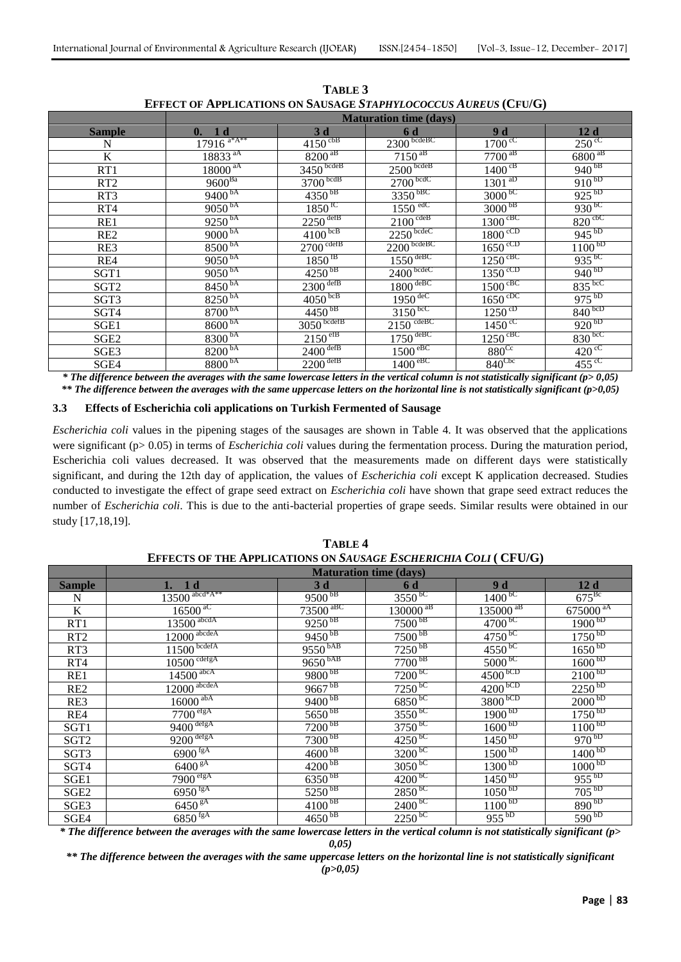|                  | <b>Maturation time (days)</b> |                         |                                    |                                        |                             |  |
|------------------|-------------------------------|-------------------------|------------------------------------|----------------------------------------|-----------------------------|--|
| Sample           | 0. 1d                         | 3d                      | 6 d                                | 9 d                                    | 12d                         |  |
| N                | $17916$ <sup>a*A**</sup>      | $4150 \text{ }^{\circ}$ | $2300 \frac{\text{bcdeBC}}{}$      | $1700 \text{°C}$                       | $250^{\circ}$               |  |
| $\bf K$          | 18833 <sup>aA</sup>           | $8200^{~a}$             | $7150^{aB}$                        | $7700^{~aB}$                           | $6800$ <sup>aB</sup>        |  |
| RT1              | $18000$ <sup>aA</sup>         | $3450$ bcdeB            | $2500$ bcdeB                       | $1400^{\text{cB}}$                     | $940^{bB}$                  |  |
| RT <sub>2</sub>  | $9600^{Ba}$                   | $3700$ bcdB             | $2700$ bcdC                        | $\frac{1301^{aD}}{b}$                  | $910^{bD}$                  |  |
| RT <sub>3</sub>  | $9400^{bA}$                   | $4350^{bB}$             | $3350$ <sub>bBC</sub>              | $3000^{bC}$                            | $925^{bD}$                  |  |
| RT4              | $9050^{bA}$                   | $1850$ <sup>fC</sup>    | $1550$ edC                         | 3000 <sup>bB</sup>                     | $930^{bC}$                  |  |
| RE1              | $9250^{bA}$                   | $2250$ defB             | $2100^{\text{cdeB}}$               | $1300^{\text{cBC}}$                    | $820^{\text{cbC}}$          |  |
| RE <sub>2</sub>  | $9000^{bA}$                   | $4100^{bcB}$            | $2250$ bcdeC                       | $1800^{\text{ccD}}$                    | $945^{bD}$                  |  |
| RE3              | 8500 <sup>bA</sup>            | $2700^{\text{cdefB}}$   | $2200$ bcdeBC                      | $\frac{1650^{\circ}}{20}$              | 1100 <sup>bD</sup>          |  |
| RE4              | $9050^{bA}$                   | $1850$ <sup>fB</sup>    | $\frac{1550}{4}$                   | $1250^{\text{cBC}}$                    | $935^{6}$                   |  |
| SGT1             | $9050^{bA}$                   | $\frac{4250^{b}}{b}$    | $2400$ bcdeC                       | $\frac{1350^{\circ \text{CD}}}{\circ}$ | $940^{bD}$                  |  |
| SGT <sub>2</sub> | 8450 <sup>bA</sup>            | $2300$ defB             | $\frac{1800}{\text{deBC}}$         | $1500^{\text{cBC}}$                    | $835^{bc}$                  |  |
| SGT3             | 8250 <sup>bA</sup>            | $4050$ <sub>bcB</sub>   | $1950$ <sup>deC</sup>              | $1650^{\mathrm{cDC}}$                  | $\frac{975}{b}$             |  |
| SGT4             | 8700 <sup>bA</sup>            | $4450^{bB}$             | $31\overline{50}^{\text{bcc}}$     | $1250^{cD}$                            | $840^{bcD}$                 |  |
| SGE1             | 8600 <sup>bA</sup>            | $3050$ bcdefB           | $21\overline{50}$ <sup>cdeBC</sup> | $1450^{\circ}$                         | $\overline{920}^{bD}$       |  |
| SGE <sub>2</sub> | 8300 <sup>bA</sup>            | $2150^{\text{eff}}$     | $\frac{1750}{\text{deBC}}$         | $1250$ $\mathrm{c}^{\mathrm{BC}}$      | $830^{bc}$                  |  |
| SGE3             | $8200^{bA}$                   | $2400$ defB             | $1500^{\text{eBC}}$                | $880^{\text{Cc}}$                      | $\overline{420}^{\text{c}}$ |  |
| SGE4             | 8800 <sup>bA</sup>            | $2200$ <sup>defB</sup>  | $1400^{eBC}$                       | $840^{\text{Cbc}}$                     | $455^{\circ}$               |  |

**TABLE 3 EFFECT OF APPLICATIONS ON SAUSAGE** *STAPHYLOCOCCUS AUREUS* **(CFU/G)**

*\* The difference between the averages with the same lowercase letters in the vertical column is not statistically significant (p> 0,05) \*\* The difference between the averages with the same uppercase letters on the horizontal line is not statistically significant (p>0,05)*

#### **3.3 Effects of Escherichia coli applications on Turkish Fermented of Sausage**

*Escherichia coli* values in the pipening stages of the sausages are shown in Table 4. It was observed that the applications were significant (p> 0.05) in terms of *Escherichia coli* values during the fermentation process. During the maturation period, Escherichia coli values decreased. It was observed that the measurements made on different days were statistically significant, and during the 12th day of application, the values of *Escherichia coli* except K application decreased. Studies conducted to investigate the effect of grape seed extract on *Escherichia coli* have shown that grape seed extract reduces the number of *Escherichia coli*. This is due to the anti-bacterial properties of grape seeds. Similar results were obtained in our study [17,18,19].

| TABLE 4                                                          |
|------------------------------------------------------------------|
| EFFECTS OF THE APPLICATIONS ON SAUSAGE ESCHERICHIA COLI ( CFU/G) |

|                  | <b>Maturation time (days)</b>      |                        |                        |                       |                       |  |
|------------------|------------------------------------|------------------------|------------------------|-----------------------|-----------------------|--|
| <b>Sample</b>    | 1. 1d                              | 3d                     | 6 d                    | 9 d                   | 12d                   |  |
| $\mathbf N$      | $13500$ $\frac{\text{abcd*A**}}{}$ | $9500^{b}$             | $3550$ <sup>bC</sup>   | $1400^{bC}$           | $675^{Bc}$            |  |
| $\bf K$          | $\overline{16500}$ <sup>aC</sup>   | $73500$ <sup>aBC</sup> | $130000$ <sup>aB</sup> | $\frac{135000}{a}$    | $675000^{aA}$         |  |
| RT1              | $13500$ <sup>abcdA</sup>           | $9250^{b}$             | $7500^{bB}$            | $4700^{6}$            | $1900^{bD}$           |  |
| RT <sub>2</sub>  | $12000$ <sup>abcdeA</sup>          | $9450^{b}$             | $7500^{bB}$            | $4750^{bC}$           | $\frac{1750^{b}}{b}$  |  |
| RT3              | $11500$ bcdefA                     | $9550$ <sup>bAB</sup>  | $7250^{bB}$            | $4550^{bC}$           | $1650^{bD}$           |  |
| RT4              | $10500$ cdefgA                     | $9650^{bAB}$           | $7700^{b}$             | $5000^{6}$            | $\frac{1600}{b}$      |  |
| RE1              | $14500$ <sup>abcA</sup>            | $\frac{9800^{b}}{b}}$  | $7200^{6}$             | $4500$ <sub>bCD</sub> | $2100^{bD}$           |  |
| RE <sub>2</sub>  | $12000$ <sup>abcdeA</sup>          | $9667^{b}$             | $7250^{bC}$            | $\frac{4200}{5}$      | $\frac{2250^{bD}}{b}$ |  |
| RE3              | $16000$ <sup>abA</sup>             | $\frac{9400^{b}}{b}}$  | $6850^{bC}$            | $3800$ <sub>bCD</sub> | $2000^{bD}$           |  |
| RE4              | $7700^{\text{efgA}}$               | $5650^{bB}$            | $3550^{bC}$            | $1900^{bD}$           | $1750^{bD}$           |  |
| SGT <sub>1</sub> | $9400$ <sup>defgA</sup>            | $7200_{\text{p}}$      | $3750^{bC}$            | 1600 <sub>PD</sub>    | $1100^{bD}$           |  |
| SGT2             | $9200$ <sup>defgA</sup>            | $7300^{bB}$            | $4250^{bC}$            | $1450^{bD}$           | $970^{bD}$            |  |
| SGT3             | $6900$ <sup>fgA</sup>              | $4600^{bB}$            | $3200^{bC}$            | 1500 <sup>bD</sup>    | $\frac{1400}{b}$      |  |
| SGT4             | $6400^{\frac{1}{8}}$               | $\frac{4200^{b}}{b}}$  | $3050^{bC}$            | 1300 <sup>bD</sup>    | 1000 <sub>PD</sub>    |  |
| SGE1             | $7900^{\text{efgA}}$               | $6350^{bB}$            | $4200^{bC}$            | $1450^{bD}$           | $955^{bD}$            |  |
| SGE <sub>2</sub> | $\underline{6950}^{\text{fgA}}$    | $5250^{bB}$            | $2850^{6}$             | $\frac{1050}{b}$      | $705^{bD}$            |  |
| SGE3             | $6450^{gA}$                        | $4100^{b}$             | $2400^{bC}$            | $1100^{bD}$           | $890^{bD}$            |  |
| SGE4             | $6850$ <sup>fgA</sup>              | $\frac{4650^{b}}{b}$   | $2250^{bC}$            | $955^{bD}$            | $590^{bD}$            |  |

*\* The difference between the averages with the same lowercase letters in the vertical column is not statistically significant (p> 0,05)*

*\*\* The difference between the averages with the same uppercase letters on the horizontal line is not statistically significant (p>0,05)*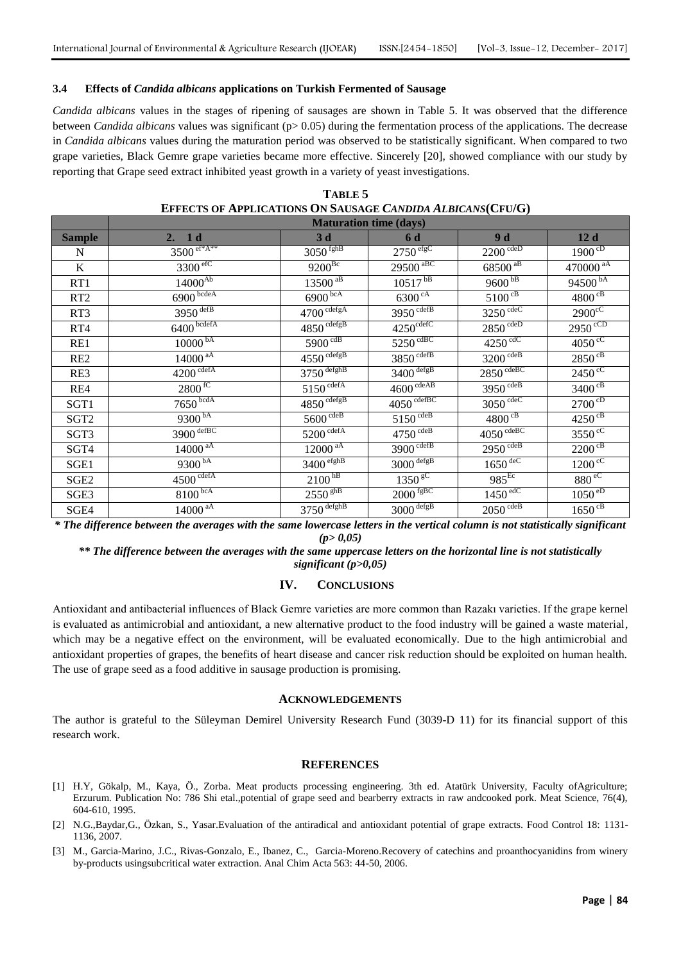#### **3.4 Effects of** *Candida albicans* **applications on Turkish Fermented of Sausage**

*Candida albicans* values in the stages of ripening of sausages are shown in Table 5. It was observed that the difference between *Candida albicans* values was significant (p> 0.05) during the fermentation process of the applications. The decrease in *Candida albicans* values during the maturation period was observed to be statistically significant. When compared to two grape varieties, Black Gemre grape varieties became more effective. Sincerely [20], showed compliance with our study by reporting that Grape seed extract inhibited yeast growth in a variety of yeast investigations.

|                                                | <b>EFFECTS OF APPLICATIONS ON SAUSAGE CANDIDA ALBICANS(CFU/G)</b> |                                   |                                                                 |                                                                                                                       |                             |  |  |  |
|------------------------------------------------|-------------------------------------------------------------------|-----------------------------------|-----------------------------------------------------------------|-----------------------------------------------------------------------------------------------------------------------|-----------------------------|--|--|--|
|                                                | <b>Maturation time (days)</b>                                     |                                   |                                                                 |                                                                                                                       |                             |  |  |  |
| <b>Sample</b>                                  | 2. 1d                                                             | 3 <sub>d</sub>                    | 6 d                                                             | 9d                                                                                                                    | 12d                         |  |  |  |
| N                                              | $3500^{\frac{eff*}{A**}}$                                         | $3050$ <sup>fghB</sup>            | $2750$ <sup>efgC</sup>                                          | $2200 \overline{cdeD}$                                                                                                | $1900^{\overline{CD}}$      |  |  |  |
| $\bf K$                                        | 3300 <sup>efC</sup>                                               | $9200^{Bc}$                       | $295\overline{00\text{ }^{\text{aBC}}}$                         | $68500^{\, \mathrm{aB}}$                                                                                              | $470000^{\text{aA}}$        |  |  |  |
| RT1                                            | $14000^{\overline{Ab}}$                                           | $13500$ <sup>aB</sup>             | $10517^{bB}$                                                    | $9600$ <sup>bB</sup>                                                                                                  | $94500^{bA}$                |  |  |  |
| RT <sub>2</sub>                                | $6900 \frac{\text{bcdeA}}{}$                                      | $6900$ <sub>bcA</sub>             | $6300\text{ }^{\circ A}$                                        | $5100^{\text{CB}}$                                                                                                    | $4800 \text{ }^{\text{cB}}$ |  |  |  |
| RT3                                            | $3950$ <sup>defB</sup>                                            | $4700 \overline{\text{cdefgA}}$   | $3950 \overline{\mathrm{cdefB}}$                                | $3250 \text{ cdec}$                                                                                                   | $2900^{\circ}$              |  |  |  |
| RT4                                            | $6400 \overline{\text{bedefa}}$                                   | $4850 \overline{\text{cdefgB}}$   | $4250^{\text{cdefC}}$                                           | $2850^{\overline{cdeD}}$                                                                                              | $2950^{\circ CD}$           |  |  |  |
| RE1                                            | $10000^{bA}$                                                      | $5900 \text{ }^{\text{cdB}}$      | $5250 \text{ }^{\text{cdBC}}$                                   | $4250 \text{ }^{\text{cdC}}$                                                                                          | $4050 \text{°}^{\text{c}}$  |  |  |  |
| RE <sub>2</sub>                                | $14000$ <sup>aA</sup>                                             | $4550 \overline{\mathrm{cdefgB}}$ | $3850 \text{ cdefB}$                                            | $3200 \text{ cdeB}$                                                                                                   | $2850$ <sup>cB</sup>        |  |  |  |
| RE3                                            | $4200^{\text{cdefA}}$                                             | $3750 \frac{\text{defghB}}{}$     | $3400 \frac{\text{degB}}{\text{degB}}$                          | $2850 \text{ cdeBC}$                                                                                                  | $2450^{\circ}$              |  |  |  |
| RE4                                            | $2800 \text{ }^{\circ}$                                           | $5150 \text{ cdefA}$              | $4600 \text{ cdeAB}$                                            | $3950 \text{ cdeB}$                                                                                                   | $3400 \text{ }^{\text{cB}}$ |  |  |  |
| SGT1                                           | $7650 \text{bcdA}$                                                | $4850 \frac{\text{cdefg}}{}$      | $4050 \text{ cdefBC}$                                           | $3050 \text{ cdec}$                                                                                                   | $2700^{\text{cD}}$          |  |  |  |
| SGT <sub>2</sub>                               | $9300^{bA}$                                                       | $5600 \overline{cdeB}$            | $5150^{\text{cdeB}}$                                            | $4800^{\circ B}$                                                                                                      | $4250^{cB}$                 |  |  |  |
| SGT3                                           | $3900 \frac{\text{defBC}}{\text{defBC}}$                          | $5200 \frac{\text{cdefA}}{}$      | $4750^{\text{cdeB}}$                                            | $4050 \text{ cdeBC}$                                                                                                  | $3550^{\circ}$              |  |  |  |
| SGT4                                           | $14000^{\mathrm{aA}}$                                             | $12000$ <sup>aA</sup>             | $3900 \overline{\text{cdefB}}$                                  | $2950 \overline{cdeB}$                                                                                                | $2200$ <sup>cB</sup>        |  |  |  |
| SGE1                                           | $9300^{bA}$                                                       | $3400 \frac{\text{efghB}}{}$      | $3000 \frac{\text{degB}}{\text{degB}}$                          | $1650 \overline{{\rm dec}}$                                                                                           | $1200^{\circ}$              |  |  |  |
| SGE <sub>2</sub>                               | $4500 \text{ cdefA}$                                              | 2100 <sup>hB</sup>                | 1350 <sup>gC</sup>                                              | $985$ <sub>Ec</sub>                                                                                                   | 880 <sup>ec</sup>           |  |  |  |
| SGE3                                           | $8100^{bcA}$                                                      | $2550$ <sup>ghB</sup>             | $2000 \sqrt{\rm fgBC}$                                          | $1450^{\text{edC}}$                                                                                                   | $1050^{eD}$                 |  |  |  |
| SGE4                                           | $14000$ <sup>aA</sup>                                             | $3750$ <sup>defghB</sup>          | $3000 \frac{\text{degB}}{\text{degB}}$                          | $2050^{\text{cdeB}}$                                                                                                  | $1650$ <sup>cB</sup>        |  |  |  |
| $\mathbf{a}$ and $\mathbf{a}$ and $\mathbf{a}$ | $\mathbf{r}$ .<br>$\mathbf{r}$<br>1.7.7                           | $\mathbf{r}$<br>$\mathbf{r}$      | $\mathbf{r}$ and $\mathbf{r}$ and $\mathbf{r}$ and $\mathbf{r}$ | $\mathbf{r}$ , $\mathbf{r}$ , $\mathbf{r}$ , $\mathbf{r}$ , $\mathbf{r}$ , $\mathbf{r}$ , $\mathbf{r}$ , $\mathbf{r}$ |                             |  |  |  |

| TABLE 5                                                           |
|-------------------------------------------------------------------|
| <b>EFFECTS OF APPLICATIONS ON SAUSAGE CANDIDA ALBICANS(CFU/G)</b> |

*\* The difference between the averages with the same lowercase letters in the vertical column is not statistically significant (p> 0,05)*

*\*\* The difference between the averages with the same uppercase letters on the horizontal line is not statistically significant (p>0,05)*

## **IV. CONCLUSIONS**

Antioxidant and antibacterial influences of Black Gemre varieties are more common than Razakı varieties. If the grape kernel is evaluated as antimicrobial and antioxidant, a new alternative product to the food industry will be gained a waste material, which may be a negative effect on the environment, will be evaluated economically. Due to the high antimicrobial and antioxidant properties of grapes, the benefits of heart disease and cancer risk reduction should be exploited on human health. The use of grape seed as a food additive in sausage production is promising.

#### **ACKNOWLEDGEMENTS**

The author is grateful to the Süleyman Demirel University Research Fund (3039-D 11) for its financial support of this research work.

#### **REFERENCES**

- [1] H.Y, Gökalp, M., Kaya, Ö., Zorba. Meat products processing engineering. 3th ed. Atatürk University, Faculty ofAgriculture; Erzurum. Publication No: 786 Shi etal.,potential of grape seed and bearberry extracts in raw andcooked pork. Meat Science, 76(4), 604‐610, 1995.
- [2] N.G.,Baydar,G., Özkan, S., Yasar.Evaluation of the antiradical and antioxidant potential of grape extracts. Food Control 18: 1131- 1136, 2007.
- [3] M., Garcia-Marino, J.C., Rivas-Gonzalo, E., Ibanez, C., Garcia-Moreno.Recovery of catechins and proanthocyanidins from winery by-products usingsubcritical water extraction. Anal Chim Acta 563: 44-50, 2006.